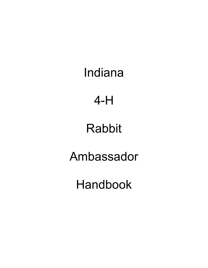Indiana

4-H

# Rabbit

Ambassador

Handbook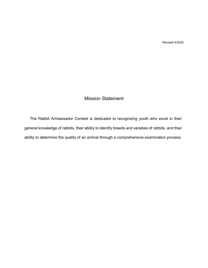Revised 4/2022

### Mission Statement

The Rabbit Ambassador Contest is dedicated to recognizing youth who excel in their general knowledge of rabbits, their ability to identify breeds and varieties of rabbits, and their ability to determine the quality of an animal through a comprehensive examination process.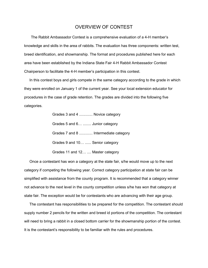### OVERVIEW OF CONTEST

The Rabbit Ambassador Contest is a comprehensive evaluation of a 4-H member's knowledge and skills in the area of rabbits. The evaluation has three components: written test, breed identification, and showmanship. The format and procedures published here for each area have been established by the Indiana State Fair 4-H Rabbit Ambassador Contest Chairperson to facilitate the 4-H member's participation in this contest.

In this contest boys and girls compete in the same category according to the grade in which they were enrolled on January 1 of the current year. See your local extension educator for procedures in the case of grade retention. The grades are divided into the following five categories.

| Grades 3 and 4  Novice category       |
|---------------------------------------|
| Grades 5 and 6  Junior category       |
| Grades 7 and 8  Intermediate category |
| Grades 9 and 10  Senior category      |
| Grades 11 and 12  Master category     |

Once a contestant has won a category at the state fair, s/he would move up to the next category if competing the following year. Correct category participation at state fair can be simplified with assistance from the county program. It is recommended that a category winner not advance to the next level in the county competition unless s/he has won that category at state fair. The exception would be for contestants who are advancing with their age group.

The contestant has responsibilities to be prepared for the competition. The contestant should supply number 2 pencils for the written and breed id portions of the competition. The contestant will need to bring a rabbit in a closed bottom carrier for the showmanship portion of the contest. It is the contestant's responsibility to be familiar with the rules and procedures.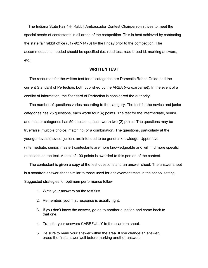The Indiana State Fair 4-H Rabbit Ambassador Contest Chairperson strives to meet the special needs of contestants in all areas of the competition. This is best achieved by contacting the state fair rabbit office (317-927-1478) by the Friday prior to the competition. The accommodations needed should be specified (i.e. read test, read breed id, marking answers, etc.)

#### **WRITTEN TEST**

The resources for the written test for all categories are Domestic Rabbit Guide and the current Standard of Perfection, both published by the ARBA (www.arba.net). In the event of a conflict of information, the Standard of Perfection is considered the authority.

The number of questions varies according to the category. The test for the novice and junior categories has 25 questions, each worth four (4) points. The test for the intermediate, senior, and master categories has 50 questions, each worth two (2) points. The questions may be true/false, multiple choice, matching, or a combination. The questions, particularly at the younger levels (novice, junior), are intended to be general knowledge. Upper level (intermediate, senior, master) contestants are more knowledgeable and will find more specific questions on the test. A total of 100 points is awarded to this portion of the contest.

The contestant is given a copy of the test questions and an answer sheet. The answer sheet is a scantron answer sheet similar to those used for achievement tests in the school setting. Suggested strategies for optimum performance follow.

- 1. Write your answers on the test first.
- 2. Remember, your first response is usually right.
- 3. If you don't know the answer, go on to another question and come back to that one.
- 4. Transfer your answers CAREFULLY to the scantron sheet.
- 5. Be sure to mark your answer within the area. If you change an answer, erase the first answer well before marking another answer.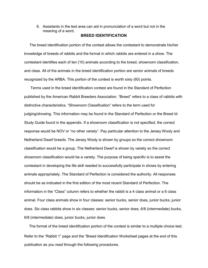6. Assistants in the test area can aid in pronunciation of a word but not in the meaning of a word.

#### **BREED IDENTIFICATION**

The breed identification portion of the contest allows the contestant to demonstrate his/her knowledge of breeds of rabbits and the format in which rabbits are entered in a show. The contestant identifies each of ten (10) animals according to the breed, showroom classification, and class. All of the animals in the breed identification portion are senior animals of breeds recognized by the ARBA. This portion of the contest is worth sixty (60) points.

Terms used in the breed identification contest are found in the Standard of Perfection published by the American Rabbit Breeders Association. "Breed" refers to a class of rabbits with distinctive characteristics. "Showroom Classification" refers to the term used for judging/showing. This information may be found in the Standard of Perfection or the Breed Id Study Guide found in the appendix. If a showroom classification is not specified, the correct response would be NOV or "no other variety". Pay particular attention to the Jersey Wooly and Netherland Dwarf breeds. The Jersey Wooly is shown by groups so the correct showroom classification would be a group. The Netherland Dwarf is shown by variety so the correct showroom classification would be a variety. The purpose of being specific is to assist the contestant in developing the life skill needed to successfully participate in shows by entering animals appropriately. The Standard of Perfection is considered the authority. All responses should be as indicated in the first edition of the most recent Standard of Perfection. The information in the "Class" column refers to whether the rabbit is a 4 class animal or a 6 class animal. Four class animals show in four classes: senior bucks, senior does, junior bucks, junior does. Six class rabbits show in six classes: senior bucks, senior does, 6/8 (intermediate) bucks, 6/8 (intermediate) does, junior bucks, junior does.

The format of the breed identification portion of the contest is similar to a multiple choice test. Refer to the "Rabbit 1" page and the "Breed Identification Worksheet pages at the end of this publication as you read through the following procedures.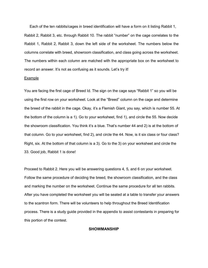Each of the ten rabbits/cages in breed identification will have a form on it listing Rabbit 1, Rabbit 2, Rabbit 3, etc. through Rabbit 10. The rabbit "number" on the cage correlates to the Rabbit 1, Rabbit 2, Rabbit 3, down the left side of the worksheet. The numbers below the columns correlate with breed, showroom classification, and class going across the worksheet. The numbers within each column are matched with the appropriate box on the worksheet to record an answer. It's not as confusing as it sounds. Let's try it!

#### Example

You are facing the first cage of Breed Id. The sign on the cage says "Rabbit 1" so you will be using the first row on your worksheet. Look at the "Breed" column on the cage and determine the breed of the rabbit in the cage. Okay, it's a Flemish Giant, you say, which is number 55. At the bottom of the column is a 1). Go to your worksheet, find 1), and circle the 55. Now decide the showroom classification. You think it's a blue. That's number 44 and 2) is at the bottom of that column. Go to your worksheet, find 2), and circle the 44. Now, is it six class or four class? Right, six. At the bottom of that column is a 3). Go to the 3) on your worksheet and circle the 33. Good job, Rabbit 1 is done!

Proceed to Rabbit 2. Here you will be answering questions 4, 5, and 6 on your worksheet. Follow the same procedure of deciding the breed, the showroom classification, and the class and marking the number on the worksheet. Continue the same procedure for all ten rabbits. After you have completed the worksheet you will be seated at a table to transfer your answers to the scantron form. There will be volunteers to help throughout the Breed Identification process. There is a study guide provided in the appendix to assist contestants in preparing for this portion of the contest.

#### **SHOWMANSHIP**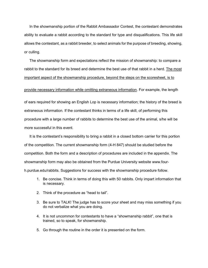In the showmanship portion of the Rabbit Ambassador Contest, the contestant demonstrates ability to evaluate a rabbit according to the standard for type and disqualifications. This life skill allows the contestant, as a rabbit breeder, to select animals for the purpose of breeding, showing, or culling.

The showmanship form and expectations reflect the mission of showmanship: to compare a rabbit to the standard for its breed and determine the best use of that rabbit in a herd. The most important aspect of the showmanship procedure, beyond the steps on the scoresheet, is to

#### provide necessary information while omitting extraneous information. For example, the length

of ears required for showing an English Lop is necessary information; the history of the breed is extraneous information. If the contestant thinks in terms of a life skill, of performing this procedure with a large number of rabbits to determine the best use of the animal, s/he will be more successful in this event.

It is the contestant's responsibility to bring a rabbit in a closed bottom carrier for this portion of the competition. The current showmanship form (4-H 847) should be studied before the competition. Both the form and a description of procedures are included in the appendix. The showmanship form may also be obtained from the Purdue University website [www.four](http://www.four-h.purdue.edu/rabbits)[h.purdue.edu/rabbits.](http://www.four-h.purdue.edu/rabbits) [S](http://www.four-h.purdue.edu/rabbits)uggestions for success with the showmanship procedure follow.

- 1. Be concise. Think in terms of doing this with 50 rabbits. Only impart information that is necessary.
- 2. Think of the procedure as "head to tail".
- 3. Be sure to TALK! The judge has to score your sheet and may miss something if you do not verbalize what you are doing.
- 4. It is not uncommon for contestants to have a "showmanship rabbit", one that is trained, so to speak, for showmanship.
- 5. Go through the routine in the order it is presented on the form.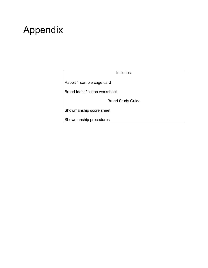# Appendix

Includes:

Rabbit 1 sample cage card

Breed Identification worksheet

Breed Study Guide

Showmanship score sheet

Showmanship procedures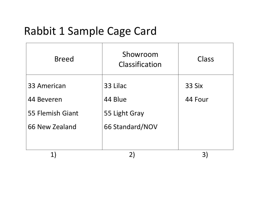# Rabbit 1 Sample Cage Card

| <b>Breed</b>     | Showroom<br>Classification | Class   |
|------------------|----------------------------|---------|
| 33 American      | 33 Lilac                   | 33 Six  |
| 44 Beveren       | 44 Blue                    | 44 Four |
| 55 Flemish Giant | 55 Light Gray              |         |
| 66 New Zealand   | 66 Standard/NOV            |         |
|                  |                            |         |
|                  |                            |         |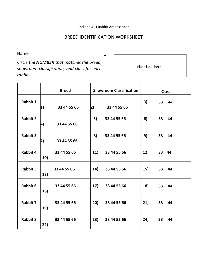Indiana 4-H Rabbit Ambassador

## BREED IDENTIFICATION WORKSHEET

Name \_

*Circle the NUMBER that matches the breed, showroom classification, and class for each rabbit.* 

Place label here

|                 |            | <b>Breed</b> | <b>Showroom Classification</b> |                 | <b>Class</b> |       |       |
|-----------------|------------|--------------|--------------------------------|-----------------|--------------|-------|-------|
| <b>Rabbit 1</b> | $\vert 1)$ | 33 44 55 66  | 2)                             | 33 44 55 66     | 3)           |       | 33 44 |
| <b>Rabbit 2</b> | 4)         | 33 44 55 66  | 5)                             | 33 44 55 66     | 6)           |       | 33 44 |
| <b>Rabbit 3</b> | 7)         | 33 44 55 66  | 8)                             | 33 44 55 66     | 9)           |       | 33 44 |
| <b>Rabbit 4</b> | 10)        | 33 44 55 66  | 11)                            | 33 44 55 66     | 12)          | 33 44 |       |
| <b>Rabbit 5</b> | 13)        | 33 44 55 66  |                                | 14) 33 44 55 66 | 15)          |       | 33 44 |
| <b>Rabbit 6</b> | 16)        | 33 44 55 66  | 17)                            | 33 44 55 66     | 18)          | 33    | 44    |
| <b>Rabbit 7</b> | 19)        | 33 44 55 66  | 20)                            | 33 44 55 66     | (21)         |       | 33 44 |
| <b>Rabbit 8</b> | 22)        | 33 44 55 66  | 23)                            | 33 44 55 66     | 24)          | 33    | 44    |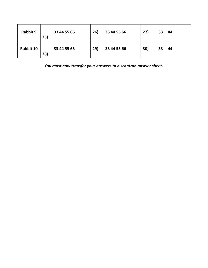| <b>Rabbit 9</b> | 25) | 33 44 55 66 | 26) | 33 44 55 66 | 27) | 33 | 44 |
|-----------------|-----|-------------|-----|-------------|-----|----|----|
| Rabbit 10       | 28) | 33 44 55 66 | 29) | 33 44 55 66 | 30) | 33 | 44 |

*You must now transfer your answers to a scantron answer sheet.*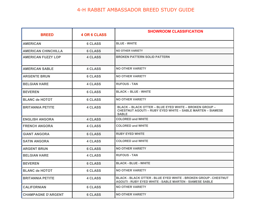| <b>BREED</b>               | <b>4 OR 6 CLASS</b> | <b>SHOWROOM CLASSIFICATION</b>                                                                                                                     |
|----------------------------|---------------------|----------------------------------------------------------------------------------------------------------------------------------------------------|
| <b>AMERICAN</b>            | <b>6 CLASS</b>      | <b>BLUE - WHITE</b>                                                                                                                                |
| <b>AMERICAN CHINCHILLA</b> | <b>6 CLASS</b>      | <b>NO OTHER VARIETY</b>                                                                                                                            |
| <b>AMERICAN FUZZY LOP</b>  | <b>4 CLASS</b>      | <b>BROKEN PATTERN SOLID PATTERN</b>                                                                                                                |
| <b>AMERICAN SABLE</b>      | <b>4 CLASS</b>      | <b>NO OTHER VARIETY</b>                                                                                                                            |
| <b>ARGENTE BRUN</b>        | <b>6 CLASS</b>      | <b>NO OTHER VARIETY</b>                                                                                                                            |
| <b>BELGIAN HARE</b>        | <b>4 CLASS</b>      | <b>RUFOUS - TAN</b>                                                                                                                                |
| <b>BEVEREN</b>             | <b>6 CLASS</b>      | <b>BLACK - BLUE - WHITE</b>                                                                                                                        |
| <b>BLANC de HOTOT</b>      | <b>6 CLASS</b>      | <b>NO OTHER VARIETY</b>                                                                                                                            |
| <b>BRITANNIA PETITE</b>    | <b>4 CLASS</b>      | <b>BLACK - BLACK OTTER - BLUE EYED WHITE - BROKEN GROUP -</b><br><b>CHESTNUT AGOUTI - RUBY EYED WHITE - SABLE MARTEN - SIAMESE</b><br><b>SABLE</b> |
| <b>ENGLISH ANGORA</b>      | <b>4 CLASS</b>      | <b>COLORED and WHITE</b>                                                                                                                           |
| <b>FRENCH ANGORA</b>       | <b>4 CLASS</b>      | <b>COLORED and WHITE</b>                                                                                                                           |
| <b>GIANT ANGORA</b>        | <b>6 CLASS</b>      | <b>RUBY EYED WHITE</b>                                                                                                                             |
| <b>SATIN ANGORA</b>        | <b>4 CLASS</b>      | <b>COLORED and WHITE</b>                                                                                                                           |
| <b>ARGENT BRUN</b>         | <b>6 CLASS</b>      | <b>NO OTHER VARIETY</b>                                                                                                                            |
| <b>BELGIAN HARE</b>        | <b>4 CLASS</b>      | <b>RUFOUS - TAN</b>                                                                                                                                |
| <b>BEVEREN</b>             | <b>6 CLASS</b>      | <b>BLACK - BLUE - WHITE</b>                                                                                                                        |
| <b>BLANC de HOTOT</b>      | <b>6 CLASS</b>      | <b>NO OTHER VARIETY</b>                                                                                                                            |
| <b>BRITANNIA PETITE</b>    | <b>4 CLASS</b>      | BLACK - BLACK OTTER - BLUE EYED WHITE - BROKEN GROUP - CHESTNUT<br><b>AGOUTI - RUBY EYED WHITE - SABLE MARTEN - SIAMESE SABLE</b>                  |
| <b>CALIFORNIAN</b>         | <b>6 CLASS</b>      | <b>NO OTHER VARIETY</b>                                                                                                                            |
|                            | <b>6 CLASS</b>      | <b>NO OTHER VARIETY</b>                                                                                                                            |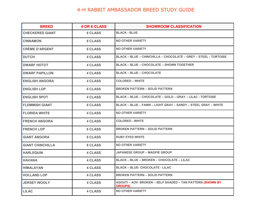| <b>BREED</b>            | <b>4 OR 6 CLASS</b> | <b>SHOWROOM CLASSIFICATION</b>                                               |
|-------------------------|---------------------|------------------------------------------------------------------------------|
| <b>CHECKERED GIANT</b>  | <b>6 CLASS</b>      | <b>BLACK - BLUE</b>                                                          |
| <b>CINNAMON</b>         | <b>6 CLASS</b>      | <b>NO OTHER VARIETY</b>                                                      |
| <b>CRÈME D'ARGENT</b>   | <b>6 CLASS</b>      | <b>NO OTHER VARIETY</b>                                                      |
| <b>DUTCH</b>            | <b>4 CLASS</b>      | BLACK - BLUE - CHINCHILLA - CHOCOLATE - GREY - STEEL - TORTOISE              |
| <b>DWARF HOTOT</b>      | <b>4 CLASS</b>      | <b>BLACK - BLUE - CHOCOLATE - SHOWN TOGETHER</b>                             |
| <b>DWARF PAPILLON</b>   | <b>4 CLASS</b>      | <b>BLACK - BLUE - CHOCOLATE</b>                                              |
| <b>ENGLISH ANGORA</b>   | <b>4 CLASS</b>      | <b>COLORED - WHITE</b>                                                       |
| <b>ENGLISH LOP</b>      | <b>6 CLASS</b>      | <b>BROKEN PATTERN - SOLID PATTERN</b>                                        |
| <b>ENGLISH SPOT</b>     | <b>4 CLASS</b>      | <b>BLACK – BLUE – CHOCOLATE – GOLD – GRAY – LILAC - TORTOISE</b>             |
| <b>FLEMMISH GIANT</b>   | <b>6 CLASS</b>      | BLACK - BLUE - FAWN - LIGHT GRAY - SANDY - STEEL GRAY - WHITE                |
| <b>FLORIDA WHITE</b>    | <b>4 CLASS</b>      | <b>NO OTHER VARIETY</b>                                                      |
| <b>FRENCH ANGORA</b>    | <b>4 CLASS</b>      | <b>COLORED - WHITE</b>                                                       |
| <b>FRENCH LOP</b>       | <b>6 CLASS</b>      | <b>BROKEN PATTERN - SOLID PATTERN</b>                                        |
| <b>GIANT ANGORA</b>     | <b>6 CLASS</b>      | <b>RUBY EYED WHITE</b>                                                       |
| <b>GIANT CHINCHILLA</b> | <b>6 CLASS</b>      | <b>NO OTHER VARIETY</b>                                                      |
| <b>HARLEQUIN</b>        | <b>4 CLASS</b>      | <b>JAPANESE GROUP - MAGPIE GROUP</b>                                         |
| <b>HAVANA</b>           | <b>4 CLASS</b>      | <b>BLACK - BLUE - BROKEN - CHOCOLATE - LILAC</b>                             |
| <b>HIMALAYAN</b>        | <b>4 CLASS</b>      | <b>BLACK - BLUE- CHOCOLATE - LILAC</b>                                       |
| <b>HOLLAND LOP</b>      | <b>4 CLASS</b>      | <b>BROKEN PATTERN - SOLID PATTERN</b>                                        |
| <b>JERSEY WOOLY</b>     | <b>4 CLASS</b>      | AGOUTI - AOV- BROKEN - SELF SHADED - TAN PATTERN (SHOWN BY<br><b>GROUPS)</b> |
| <b>LILAC</b>            | <b>4 CLASS</b>      | <b>NO OTHER VARIETY</b>                                                      |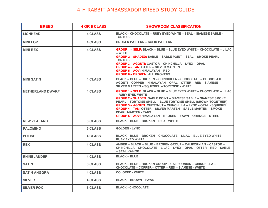| <b>BREED</b>            | <b>4 OR 6 CLASS</b> | <b>SHOWROOM CLASSIFICATION</b>                                                                                                                                                                                                                                                                                                                                                                                                                                                                    |
|-------------------------|---------------------|---------------------------------------------------------------------------------------------------------------------------------------------------------------------------------------------------------------------------------------------------------------------------------------------------------------------------------------------------------------------------------------------------------------------------------------------------------------------------------------------------|
| <b>LIONHEAD</b>         | <b>4 CLASS</b>      | <b>BLACK – CHOCOLATE – RUBY EYED WHITE – SEAL – SIAMESE SABLE -</b><br><b>TORTOISE</b>                                                                                                                                                                                                                                                                                                                                                                                                            |
| <b>MINI LOP</b>         | <b>4 CLASS</b>      | <b>BROKEN PATTERN - SOLID PATTERN</b>                                                                                                                                                                                                                                                                                                                                                                                                                                                             |
| <b>MINI REX</b>         | <b>4 CLASS</b>      | <b>GROUP 1 – SELF: BLACK – BLUE – BLUE EYED WHITE – CHOCOLATE – LILAC</b><br>– WHITE<br><b>GROUP 2 – SHADED: SABLE – SABLE POINT – SEAL – SMOKE PEARL –</b><br><b>TORTOISE</b><br><b>GROUP 3 – AGOUTI: CASTOR – CHINCHILLA – LYNX – OPAL</b><br><b>GROUP 4 - TAN: OTTER - SILVER MARTEN</b><br><b>GROUP 5 - AOV: HIMALAYAN - RED</b><br><b>GROUP 6 - BROKEN: ALL BROKENS</b>                                                                                                                      |
| <b>MINI SATIN</b>       | <b>4 CLASS</b>      | <b>BLACK – BLUE – BROKEN – CHINCHILLA – CHOCOLATE – CHOCOLATE</b><br>AGOUTI – COPPER – HIMALAYAN – OPAL – OTTER – RED – SIAMESE –<br>SILVER MARTEN – SQUIRREL – TORTOISE - WHITE                                                                                                                                                                                                                                                                                                                  |
| <b>NETHERLAND DWARF</b> | <b>4 CLASS</b>      | <b>GROUP 1 – SELF: BLACK – BLUE – BLUE EYED WHITE – CHOCOLATE – LILAC</b><br>- RUBY EYED WHITE<br><b>GROUP 2 – SHADED: SABLE POINT – SIAMESE SABLE – SIAMESE SMOKE</b><br><b>PEARL – TORTOISE SHELL – BLUE TORTOISE SHELL (SHOWN TOGETHER)</b><br><b>GROUP 3 - AGOUTI: CHESTNUT - CHINCHILLA - LYNX - OPAL - SQUIRREL</b><br><b>GROUP 4 – TAN: OTTER – SILVER MARTEN – SABLE MARTEN – SMOKE</b><br><b>PEARL MARTEN - TANS</b><br><b>GROUP 5 – AOV: HIMALAYAN – BROKEN – FAWN – ORANGE – STEEL</b> |
| <b>NEW ZEALAND</b>      | <b>6 CLASS</b>      | <b>BLACK - BLUE - BROKEN - RED - WHITE</b>                                                                                                                                                                                                                                                                                                                                                                                                                                                        |
| <b>PALOMINO</b>         | <b>6 CLASS</b>      | <b>GOLDEN - LYNX</b>                                                                                                                                                                                                                                                                                                                                                                                                                                                                              |
| <b>POLISH</b>           | <b>4 CLASS</b>      | BLACK - BLUE - BROKEN - CHOCOLATE - LILAC - BLUE EYED WHITE -<br><b>RUBY EYED WHITE</b>                                                                                                                                                                                                                                                                                                                                                                                                           |
| <b>REX</b>              | <b>4 CLASS</b>      | AMBER – BLACK – BLUE – BROKEN GROUP – CALIFORNIAN – CASTOR –<br>CHINCHILLA – CHOCOLATE – LILAC – LYNX – OPAL – OTTER – RED – SABLE<br>– SEAL - WHITE                                                                                                                                                                                                                                                                                                                                              |
| <b>RHINELANDER</b>      | <b>4 CLASS</b>      | <b>BLACK – BLUE</b>                                                                                                                                                                                                                                                                                                                                                                                                                                                                               |
| <b>SATIN</b>            | <b>6 CLASS</b>      | BLACK - BLUE - BROKEN GROUP - CALIFORNIAN - CHINCHILLA -<br><b>CHOCOLATE – COPPER – OTTER – RED – SIAMESE - WHITE</b>                                                                                                                                                                                                                                                                                                                                                                             |
| <b>SATIN ANGORA</b>     | <b>4 CLASS</b>      | <b>COLORED - WHITE</b>                                                                                                                                                                                                                                                                                                                                                                                                                                                                            |
| <b>SILVER</b>           | <b>4 CLASS</b>      | <b>BLACK - BROWN - FAWN</b>                                                                                                                                                                                                                                                                                                                                                                                                                                                                       |
| <b>SILVER FOX</b>       | <b>6 CLASS</b>      | <b>BLACK - CHOCOLATE</b>                                                                                                                                                                                                                                                                                                                                                                                                                                                                          |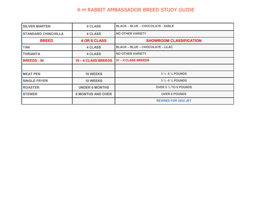| <b>SILVER MARTEN</b>       | <b>4 CLASS</b>           | <b>BLACK - BLUE - CHOCOLATE - SABLE</b> |  |
|----------------------------|--------------------------|-----------------------------------------|--|
| <b>STANDARD CHINCHILLA</b> | <b>4 CLASS</b>           | <b>NO OTHER VARIETY</b>                 |  |
| <b>BREED</b>               | <b>4 OR 6 CLASS</b>      | <b>SHOWROOM CLASSIFICATION</b>          |  |
| <b>TAN</b>                 | <b>4 CLASS</b>           | <b>BLACK - BLUE - CHOCOLATE - LILAC</b> |  |
| <b>THRIANTA</b>            | <b>4 CLASS</b>           | <b>NO OTHER VARIETY</b>                 |  |
| <b>BREEDS - 50</b>         | 19 – 6 CLASS BREEDS      | 31 - 4 CLASS BREEDS                     |  |
|                            |                          |                                         |  |
| <b>MEAT PEN</b>            | <b>10 WEEKS</b>          | $3\frac{1}{2}$ -5 $\frac{1}{2}$ POUNDS  |  |
| <b>SINGLE FRYER</b>        | <b>10 WEEKS</b>          | $3\frac{1}{2}$ -5 $\frac{1}{2}$ POUNDS  |  |
| <b>ROASTER</b>             | <b>UNDER 6 MONTHS</b>    | OVER 5 $\frac{1}{2}$ TO 9 POUNDS        |  |
| <b>STEWER</b>              | <b>6 MONTHS AND OVER</b> | <b>OVER 8 POUNDS</b>                    |  |
|                            |                          | <b>REVISED FOR 2022 JET</b>             |  |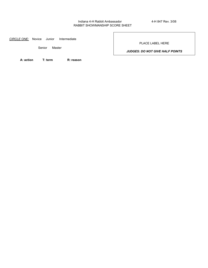#### Indiana 4-H Rabbit Ambassador 4-H 847 Rev. 3/08 RABBIT SHOWMANSHIP SCORE SHEET

*CIRCLE ONE:* Novice Junior Intermediate

Senior Master

PLACE LABEL HERE

*JUDGES: DO NOT GIVE HALF POINTS* 

**A: action T: term R: reason**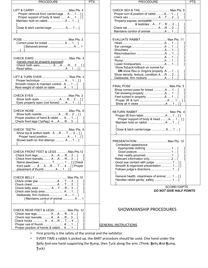| <b>PROCEDURE</b>                                                                                                                                                                                                       | PTS. |
|------------------------------------------------------------------------------------------------------------------------------------------------------------------------------------------------------------------------|------|
| Proper removal from carrier/cage  A  1  [ ]<br>Proper support of body & head  A  1  []<br>Maintain hold on rabbit A  1  [<br>Close & latch carrier/cage  A  1  [                                                       |      |
| Correct pose for breed  A  1  [<br>] Behaved animal  A  1<br>[ 1                                                                                                                                                       |      |
| (canals must be properly exposed)<br>Check both ears A  A  R 3  [ ]                                                                                                                                                    |      |
| LIFT & TURN OVER  Max Pts. 3<br>Proper technique  A  1  [ ]<br>Smooth motion & maintain control . A  1  [<br>Rest weight of rabbit on table  A  1  [                                                                   |      |
| Eyes properly open (not forced)  A  1  []                                                                                                                                                                              |      |
| Show both nostrils A  R 2  [ ]<br>Proper position of hand & rabbit  A  1  [<br>Check front legs (1pt/leg). A  A  R 3  [                                                                                                |      |
| Show top & bottom teeth . A R  T  3  []<br>Proper hand position A  1  [ ]<br>Shows teeth on first attempt  A  1  [                                                                                                     |      |
| Check front legs  A A  R 3  [<br>Check front toenails A A  R 3  [<br>Name dewclaws  T  1  [ ] Check<br>front pads  A  A R  T  4  [ ] Proper<br>placement of thumb  A  1  [ ]                                           |      |
| Check belly area  A T  R 3  [<br>Check side body area  A  1  [<br>Deliberate, firm motions A  1  [<br>] Maintains control of animal  A  1                                                                              |      |
| CHECK REAR FEET & LEGS Max Pts. 12<br>Check rear legs A A  R 3  [<br>Check rear toenails A A  R 3  [<br>Check hocks  A  A R  T  4  [<br>I<br>Proper use of thumb  A  1  [<br>Proper position of hands & rabbit A  1  [ |      |

| <b>PROCEDURE</b>                                                                                                                                                                                                                                                                                                                              | PTS. |
|-----------------------------------------------------------------------------------------------------------------------------------------------------------------------------------------------------------------------------------------------------------------------------------------------------------------------------------------------|------|
| CHECK SEX & TAIL  Max Pts. 9<br>Proper turn & position of rabbit A  1  [<br>I<br>Check sex  A T  2  [<br>1<br>Properly expose vent/penis<br>& testicles  A  T  R  3  [<br>1<br>1                                                                                                                                                              |      |
| EVALUATE RABBIT Max Pts. 11<br>J<br>1<br>1<br>1<br>1<br>Show flyback/rollback on normal fur<br><b>OR</b> show Rex or Angora properlyA  1  [<br>I<br>Show density, texture, condition A R  2  [<br>1                                                                                                                                           |      |
| Show correct pose for breed A  1  [<br>I<br>I                                                                                                                                                                                                                                                                                                 |      |
| Proper support of body & head A  1  [ ]<br>Close & latch carrier/cage A  1  [                                                                                                                                                                                                                                                                 |      |
| PRESENTATION  Max Pts. 10<br>Contestant appearance<br>1<br>Hair neatly groomed  1  [<br>1<br>Relevant information only 2  [<br>1<br>Good eye contact with judge  1  []<br>Smooth & organized presentation  1  [ ]<br>Follows judge's directions  1  [<br>General health, cleanliness of animal  1  [ ]<br>Handles rabbit gently, safely  1  [ |      |

SCORE/100PTS *DO NOT GIVE HALF POINTS* 

### SHOWMANSHIP PROCEDURES

GENERAL INSTRUCTIONS

- First priority is the safety of the animal and the exhibitor.
- EVERY TIME a rabbit is picked up, the BART procedure should be used. One hand under the Belly And one hand supporting the Rump, then Tuck along the arm. (Think: **B**elly *A*nd **R**ump, **T**uck)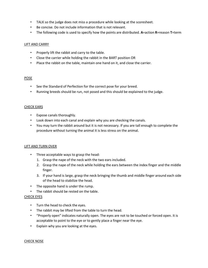- TALK so the judge does not miss a procedure while looking at the scoresheet.
- Be concise. Do not include information that is not relevant.
- The following code is used to specify how the points are distributed. **A**=action **R**=reason **T**=term

#### LIFT AND CARRY

- Properly lift the rabbit and carry to the table.
- Close the carrier while holding the rabbit in the BART position OR
- Place the rabbit on the table, maintain one hand on it, and close the carrier.

#### POSE

- See the Standard of Perfection for the correct pose for your breed.
- Running breeds should be run, not posed and this should be explained to the judge.

#### CHECK EARS

- Expose canals thoroughly.
- Look down into each canal and explain why you are checking the canals.
- You may turn the rabbit around but it is not necessary. If you are tall enough to complete the procedure without turning the animal it is less stress on the animal.

#### LIFT AND TURN OVER

- Three acceptable ways to grasp the head:
	- 1. Grasp the nape of the neck with the two ears included.
	- 2. Grasp the nape of the neck while holding the ears between the index finger and the middle finger.
	- 3. If your hand is large, grasp the neck bringing the thumb and middle finger around each side of the head to stabilize the head.
- The opposite hand is under the rump.
- The rabbit should be rested on the table.

#### CHECK EYES

- Turn the head to check the eyes.
- The rabbit may be lifted from the table to turn the head.
- "Properly open" indicates naturally open. The eyes are not to be touched or forced open. It is acceptable to point to the eye or to gently place a finger near the eye.
- Explain why you are looking at the eyes.

#### CHECK NOSE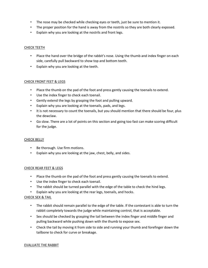- The nose may be checked while checking eyes or teeth, just be sure to mention it.
- The proper position for the hand is away from the nostrils so they are both clearly exposed.
- Explain why you are looking at the nostrils and front legs.

#### CHECK TEETH

- Place the hand over the bridge of the rabbit's nose. Using the thumb and index finger on each side, carefully pull backward to show top and bottom teeth.
- Explain why you are looking at the teeth.

#### CHECK FRONT FEET & LEGS

- Place the thumb on the pad of the foot and press gently causing the toenails to extend.
- Use the index finger to check each toenail.
- Gently extend the legs by grasping the foot and pulling upward.
- Explain why you are looking at the toenails, pads, and legs.
- It is not necessary to count the toenails, but you should mention that there should be four, plus the dewclaw.
- Go slow. There are a lot of points on this section and going too fast can make scoring difficult for the judge.

#### CHECK BELLY

- Be thorough. Use firm motions.
- Explain why you are looking at the jaw, chest, belly, and sides.

#### CHECK REAR FEET & LEGS

- Place the thumb on the pad of the foot and press gently causing the toenails to extend.
- Use the index finger to check each toenail.
- The rabbit should be turned parallel with the edge of the table to check the hind legs.
- Explain why you are looking at the rear legs, toenails, and hocks.

#### CHECK SEX & TAIL

- The rabbit should remain parallel to the edge of the table. If the contestant is able to turn the rabbit completely towards the judge while maintaining control, that is acceptable.
- Sex should be checked by grasping the tail between the index finger and middle finger and pulling backward while pushing down with the thumb to expose sex.
- Check the tail by moving it from side to side and running your thumb and forefinger down the tailbone to check for curve or breakage.

#### EVALUATE THE RABBIT